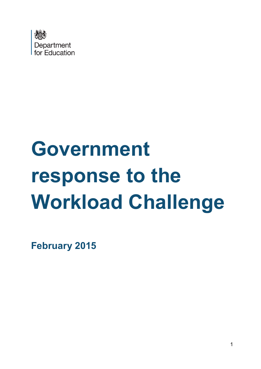

# **Government response to the Workload Challenge**

**February 2015**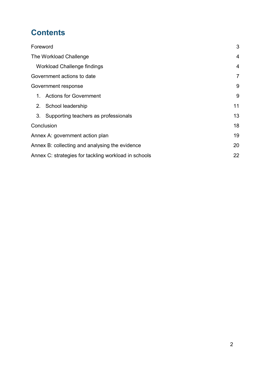# **Contents**

|                                                      | Foreword                             | 3              |
|------------------------------------------------------|--------------------------------------|----------------|
| The Workload Challenge                               |                                      |                |
|                                                      | <b>Workload Challenge findings</b>   | $\overline{4}$ |
| Government actions to date                           | $\overline{7}$                       |                |
| Government response                                  |                                      | 9              |
| 1.                                                   | <b>Actions for Government</b>        | 9              |
|                                                      | 2. School leadership                 | 11             |
| 3.                                                   | Supporting teachers as professionals | 13             |
| Conclusion                                           |                                      | 18             |
| Annex A: government action plan                      |                                      | 19             |
| Annex B: collecting and analysing the evidence       |                                      | 20             |
| Annex C: strategies for tackling workload in schools |                                      |                |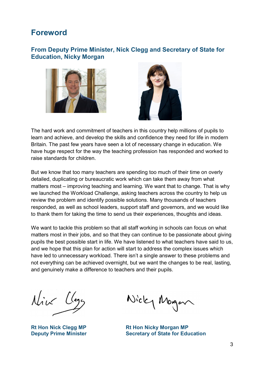## <span id="page-2-0"></span>**Foreword**

#### **From Deputy Prime Minister, Nick Clegg and Secretary of State for Education, Nicky Morgan**





The hard work and commitment of teachers in this country help millions of pupils to learn and achieve, and develop the skills and confidence they need for life in modern Britain. The past few years have seen a lot of necessary change in education. We have huge respect for the way the teaching profession has responded and worked to raise standards for children.

But we know that too many teachers are spending too much of their time on overly detailed, duplicating or bureaucratic work which can take them away from what matters most – improving teaching and learning. We want that to change. That is why we launched the Workload Challenge, asking teachers across the country to help us review the problem and identify possible solutions. Many thousands of teachers responded, as well as school leaders, support staff and governors, and we would like to thank them for taking the time to send us their experiences, thoughts and ideas.

We want to tackle this problem so that all staff working in schools can focus on what matters most in their jobs, and so that they can continue to be passionate about giving pupils the best possible start in life. We have listened to what teachers have said to us, and we hope that this plan for action will start to address the complex issues which have led to unnecessary workload. There isn't a single answer to these problems and not everything can be achieved overnight, but we want the changes to be real, lasting, and genuinely make a difference to teachers and their pupils.

Nive Clege

Nicky Morgan

**Rt Hon Nick Clegg MP Rt Hon Nicky Morgan MP Deputy Prime Minister Secretary of State for Education**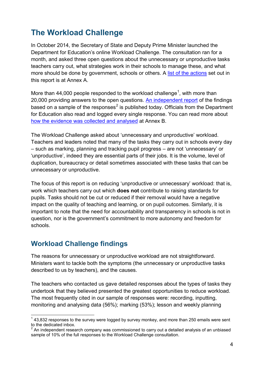# <span id="page-3-0"></span>**The Workload Challenge**

In October 2014, the Secretary of State and Deputy Prime Minister launched the Department for Education's online Workload Challenge. The consultation ran for a month, and asked three open questions about the unnecessary or unproductive tasks teachers carry out, what strategies work in their schools to manage these, and what more should be done by government, schools or others. A [list of the actions](#page-18-0) set out in this report is at Annex A.

More than 44,000 people responded to the workload challenge<sup>[1](#page-3-2)</sup>, with more than 20,000 providing answers to the open questions. [An independent report](https://www.gov.uk/government/publications/workload-challenge-analysis-of-teacher-responses) of the findings based on a sample of the responses<sup>[2](#page-3-3)</sup> is published today. Officials from the Department for Education also read and logged every single response. You can read more about [how the evidence was collected and analysed](#page-19-0) at Annex B.

The Workload Challenge asked about 'unnecessary and unproductive' workload. Teachers and leaders noted that many of the tasks they carry out in schools every day – such as marking, planning and tracking pupil progress – are not 'unnecessary' or 'unproductive', indeed they are essential parts of their jobs. It is the volume, level of duplication, bureaucracy or detail sometimes associated with these tasks that can be unnecessary or unproductive.

The focus of this report is on reducing 'unproductive or unnecessary' workload: that is, work which teachers carry out which **does not** contribute to raising standards for pupils. Tasks should not be cut or reduced if their removal would have a negative impact on the quality of teaching and learning, or on pupil outcomes. Similarly, it is important to note that the need for accountability and transparency in schools is not in question, nor is the government's commitment to more autonomy and freedom for schools.

## <span id="page-3-1"></span>**Workload Challenge findings**

The reasons for unnecessary or unproductive workload are not straightforward. Ministers want to tackle both the symptoms (the unnecessary or unproductive tasks described to us by teachers), and the causes.

The teachers who contacted us gave detailed responses about the types of tasks they undertook that they believed presented the greatest opportunities to reduce workload. The most frequently cited in our sample of responses were: recording, inputting, monitoring and analysing data (56%); marking (53%); lesson and weekly planning

<span id="page-3-2"></span> $1$  43,832 responses to the survey were logged by survey monkey, and more than 250 emails were sent to the dedicated inbox.  $\overline{1}$ 

<span id="page-3-3"></span> $2^{2}$  An independent research company was commissioned to carry out a detailed analysis of an unbiased sample of 10% of the full responses to the Workload Challenge consultation.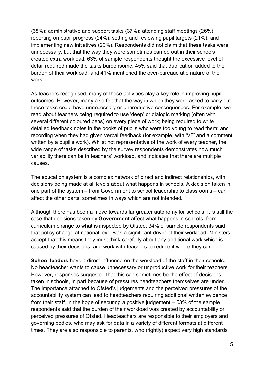(38%); administrative and support tasks (37%); attending staff meetings (26%); reporting on pupil progress (24%); setting and reviewing pupil targets (21%); and implementing new initiatives (20%). Respondents did not claim that these tasks were unnecessary, but that the way they were sometimes carried out in their schools created extra workload. 63% of sample respondents thought the excessive level of detail required made the tasks burdensome, 45% said that duplication added to the burden of their workload, and 41% mentioned the over-bureaucratic nature of the work.

As teachers recognised, many of these activities play a key role in improving pupil outcomes. However, many also felt that the way in which they were asked to carry out these tasks could have unnecessary or unproductive consequences. For example, we read about teachers being required to use 'deep' or dialogic marking (often with several different coloured pens) on every piece of work; being required to write detailed feedback notes in the books of pupils who were too young to read them; and recording when they had given verbal feedback (for example, with 'VF' and a comment written by a pupil's work). Whilst not representative of the work of every teacher, the wide range of tasks described by the survey respondents demonstrates how much variability there can be in teachers' workload, and indicates that there are multiple causes.

The education system is a complex network of direct and indirect relationships, with decisions being made at all levels about what happens in schools. A decision taken in one part of the system – from Government to school leadership to classrooms – can affect the other parts, sometimes in ways which are not intended.

Although there has been a move towards far greater autonomy for schools, it is still the case that decisions taken by **Government** affect what happens in schools, from curriculum change to what is inspected by Ofsted: 34% of sample respondents said that policy change at national level was a significant driver of their workload. Ministers accept that this means they must think carefully about any additional work which is caused by their decisions, and work with teachers to reduce it where they can.

**School leaders** have a direct influence on the workload of the staff in their schools. No headteacher wants to cause unnecessary or unproductive work for their teachers. However, responses suggested that this can sometimes be the effect of decisions taken in schools, in part because of pressures headteachers themselves are under. The importance attached to Ofsted's judgements and the perceived pressures of the accountability system can lead to headteachers requiring additional written evidence from their staff, in the hope of securing a positive judgement – 53% of the sample respondents said that the burden of their workload was created by accountability or perceived pressures of Ofsted. Headteachers are responsible to their employers and governing bodies, who may ask for data in a variety of different formats at different times. They are also responsible to parents, who (rightly) expect very high standards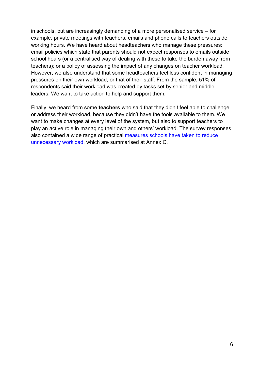in schools, but are increasingly demanding of a more personalised service – for example, private meetings with teachers, emails and phone calls to teachers outside working hours. We have heard about headteachers who manage these pressures: email policies which state that parents should not expect responses to emails outside school hours (or a centralised way of dealing with these to take the burden away from teachers); or a policy of assessing the impact of any changes on teacher workload. However, we also understand that some headteachers feel less confident in managing pressures on their own workload, or that of their staff. From the sample, 51% of respondents said their workload was created by tasks set by senior and middle leaders. We want to take action to help and support them.

Finally, we heard from some **teachers** who said that they didn't feel able to challenge or address their workload, because they didn't have the tools available to them. We want to make changes at every level of the system, but also to support teachers to play an active role in managing their own and others' workload. The survey responses also contained a wide range of practical [measures schools have taken to reduce](#page-21-0)  [unnecessary workload,](#page-21-0) which are summarised at Annex C.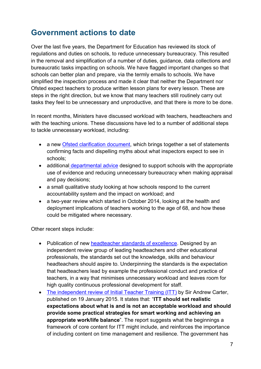# <span id="page-6-0"></span>**Government actions to date**

Over the last five years, the Department for Education has reviewed its stock of regulations and duties on schools, to reduce unnecessary bureaucracy. This resulted in the removal and simplification of a number of duties, guidance, data collections and bureaucratic tasks impacting on schools. We have flagged important changes so that schools can better plan and prepare, via the termly emails to schools. We have simplified the inspection process and made it clear that neither the Department nor Ofsted expect teachers to produce written lesson plans for every lesson. These are steps in the right direction, but we know that many teachers still routinely carry out tasks they feel to be unnecessary and unproductive, and that there is more to be done.

In recent months, Ministers have discussed workload with teachers, headteachers and with the teaching unions. These discussions have led to a number of additional steps to tackle unnecessary workload, including:

- a new [Ofsted clarification document,](https://www.gov.uk/government/publications/ofsted-inspections-clarification-for-schools) which brings together a set of statements confirming facts and dispelling myths about what inspectors expect to see in schools;
- additional [departmental advice](https://www.gov.uk/government/publications/reviewing-and-revising-school-teachers-pay) designed to support schools with the appropriate use of evidence and reducing unnecessary bureaucracy when making appraisal and pay decisions;
- a small qualitative study looking at how schools respond to the current accountability system and the impact on workload; and
- a two-year review which started in October 2014, looking at the health and deployment implications of teachers working to the age of 68, and how these could be mitigated where necessary.

Other recent steps include:

- Publication of new [headteacher standards](https://www.gov.uk/government/publications/national-standards-of-excellence-for-headteachers) of excellence. Designed by an independent review group of leading headteachers and other educational professionals, the standards set out the knowledge, skills and behaviour headteachers should aspire to. Underpinning the standards is the expectation that headteachers lead by example the professional conduct and practice of teachers, in a way that minimises unnecessary workload and leaves room for high quality continuous professional development for staff.
- [The independent review of Initial Teacher Training \(ITT\)](https://www.gov.uk/government/publications/carter-review-of-initial-teacher-training) by Sir Andrew Carter, published on 19 January 2015. It states that: "**ITT should set realistic expectations about what is and is not an acceptable workload and should provide some practical strategies for smart working and achieving an appropriate work/life balance**". The report suggests what the beginnings a framework of core content for ITT might include, and reinforces the importance of including content on time management and resilience. The government has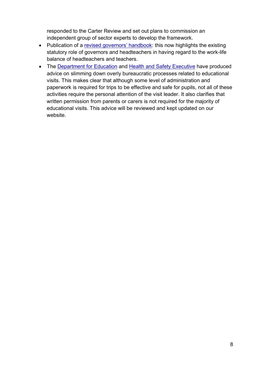responded to the Carter Review and set out plans to commission an independent group of sector experts to develop the framework.

- Publication of a [revised governors' handbook:](https://www.gov.uk/government/publications/governors-handbook--3) this now highlights the existing statutory role of governors and headteachers in having regard to the work-life balance of headteachers and teachers.
- The [Department for Education](https://www.gov.uk/government/publications/health-and-safety-advice-for-schools) and [Health and Safety Executive](http://www.hse.gov.uk/services/education/school-trips.htm) have produced advice on slimming down overly bureaucratic processes related to educational visits. This makes clear that although some level of administration and paperwork is required for trips to be effective and safe for pupils, not all of these activities require the personal attention of the visit leader. It also clarifies that written permission from parents or carers is not required for the majority of educational visits. This advice will be reviewed and kept updated on our website.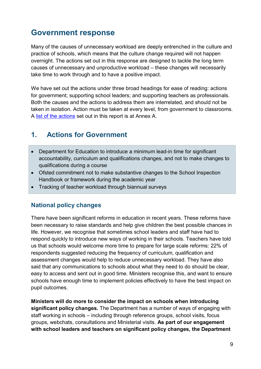# <span id="page-8-0"></span>**Government response**

Many of the causes of unnecessary workload are deeply entrenched in the culture and practice of schools, which means that the culture change required will not happen overnight. The actions set out in this response are designed to tackle the long term causes of unnecessary and unproductive workload – these changes will necessarily take time to work through and to have a positive impact.

We have set out the actions under three broad headings for ease of reading: actions for government; supporting school leaders; and supporting teachers as professionals. Both the causes and the actions to address them are interrelated, and should not be taken in isolation. Action must be taken at every level, from government to classrooms. A [list of the actions](#page-18-0) set out in this report is at Annex A.

## <span id="page-8-1"></span>**1. Actions for Government**

- Department for Education to introduce a minimum lead-in time for significant accountability, curriculum and qualifications changes, and not to make changes to qualifications during a course
- Ofsted commitment not to make substantive changes to the School Inspection Handbook or framework during the academic year
- Tracking of teacher workload through biannual surveys

#### **National policy changes**

There have been significant reforms in education in recent years. These reforms have been necessary to raise standards and help give children the best possible chances in life. However, we recognise that sometimes school leaders and staff have had to respond quickly to introduce new ways of working in their schools. Teachers have told us that schools would welcome more time to prepare for large scale reforms: 22% of respondents suggested reducing the frequency of curriculum, qualification and assessment changes would help to reduce unnecessary workload. They have also said that any communications to schools about what they need to do should be clear, easy to access and sent out in good time. Ministers recognise this, and want to ensure schools have enough time to implement policies effectively to have the best impact on pupil outcomes.

**Ministers will do more to consider the impact on schools when introducing significant policy changes.** The Department has a number of ways of engaging with staff working in schools – including through reference groups, school visits, focus groups, webchats, consultations and Ministerial visits. **As part of our engagement with school leaders and teachers on significant policy changes, the Department**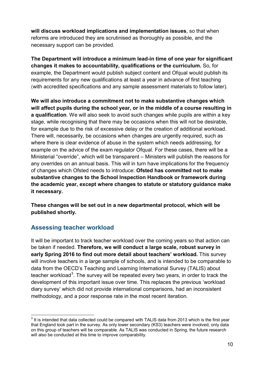**will discuss workload implications and implementation issues**, so that when reforms are introduced they are scrutinised as thoroughly as possible, and the necessary support can be provided.

**The Department will introduce a minimum lead-in time of one year for significant changes it makes to accountability, qualifications or the curriculum.** So, for example, the Department would publish subject content and Ofqual would publish its requirements for any new qualifications at least a year in advance of first teaching (with accredited specifications and any sample assessment materials to follow later).

**We will also introduce a commitment not to make substantive changes which will affect pupils during the school year, or in the middle of a course resulting in a qualification**. We will also seek to avoid such changes while pupils are within a key stage, while recognising that there may be occasions when this will not be desirable, for example due to the risk of excessive delay or the creation of additional workload. There will, necessarily, be occasions when changes are urgently required, such as where there is clear evidence of abuse in the system which needs addressing, for example on the advice of the exam regulator Ofqual. For these cases, there will be a Ministerial "override", which will be transparent – Ministers will publish the reasons for any overrides on an annual basis. This will in turn have implications for the frequency of changes which Ofsted needs to introduce: **Ofsted has committed not to make substantive changes to the School Inspection Handbook or framework during the academic year, except where changes to statute or statutory guidance make it necessary.** 

**These changes will be set out in a new departmental protocol, which will be published shortly.**

#### **Assessing teacher workload**

It will be important to track teacher workload over the coming years so that action can be taken if needed. **Therefore, we will conduct a large scale, robust survey in early Spring 2016 to find out more detail about teachers' workload.** This survey will involve teachers in a large sample of schools, and is intended to be comparable to data from the OECD's Teaching and Learning International Survey (TALIS) about teacher workload<sup>[3](#page-9-0)</sup>. The survey will be repeated every two years, in order to track the development of this important issue over time. This replaces the previous 'workload diary survey' which did not provide international comparisons, had an inconsistent methodology, and a poor response rate in the most recent iteration.

<span id="page-9-0"></span> $3$  It is intended that data collected could be compared with TALIS data from 2013 which is the first year that England took part in the survey. As only lower secondary (KS3) teachers were involved, only data on this group of teachers will be comparable. As TALIS was conducted in Spring, the future research will also be conducted at this time to improve comparability.  $\overline{\phantom{a}}$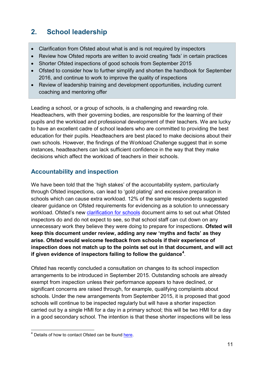## <span id="page-10-0"></span>**2. School leadership**

- Clarification from Ofsted about what is and is not required by inspectors
- Review how Ofsted reports are written to avoid creating 'fads' in certain practices
- Shorter Ofsted inspections of good schools from September 2015
- Ofsted to consider how to further simplify and shorten the handbook for September 2016, and continue to work to improve the quality of inspections
- Review of leadership training and development opportunities, including current coaching and mentoring offer

Leading a school, or a group of schools, is a challenging and rewarding role. Headteachers, with their governing bodies, are responsible for the learning of their pupils and the workload and professional development of their teachers. We are lucky to have an excellent cadre of school leaders who are committed to providing the best education for their pupils. Headteachers are best placed to make decisions about their own schools. However, the findings of the Workload Challenge suggest that in some instances, headteachers can lack sufficient confidence in the way that they make decisions which affect the workload of teachers in their schools.

## **Accountability and inspection**

We have been told that the 'high stakes' of the accountability system, particularly through Ofsted inspections, can lead to 'gold plating' and excessive preparation in schools which can cause extra workload. 12% of the sample respondents suggested clearer guidance on Ofsted requirements for evidencing as a solution to unnecessary workload. Ofsted's new [clarification for schools](https://www.gov.uk/government/publications/ofsted-inspections-clarification-for-schools) document aims to set out what Ofsted inspectors do and do not expect to see, so that school staff can cut down on any unnecessary work they believe they were doing to prepare for inspections. **Ofsted will keep this document under review, adding any new 'myths and facts' as they arise. Ofsted would welcome feedback from schools if their experience of inspection does not match up to the points set out in that document, and will act if given evidence of inspectors failing to follow the guidance[4](#page-10-1)** .

Ofsted has recently concluded a consultation on changes to its school inspection arrangements to be introduced in September 2015. Outstanding schools are already exempt from inspection unless their performance appears to have declined, or significant concerns are raised through, for example, qualifying complaints about schools. Under the new arrangements from September 2015, it is proposed that good schools will continue to be inspected regularly but will have a shorter inspection carried out by a single HMI for a day in a primary school; this will be two HMI for a day in a good secondary school. The intention is that these shorter inspections will be less

<span id="page-10-1"></span><sup>&</sup>lt;sup>4</sup> Details of how to contact Ofsted can be found [here.](https://www.gov.uk/government/organisations/ofsted)  $\overline{1}$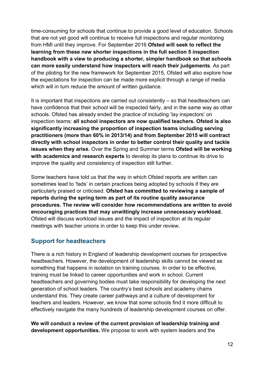time-consuming for schools that continue to provide a good level of education. Schools that are not yet good will continue to receive full inspections and regular monitoring from HMI until they improve. For September 2016 **Ofsted will seek to reflect the learning from these new shorter inspections in the full section 5 inspection handbook with a view to producing a shorter, simpler handbook so that schools can more easily understand how inspectors will reach their judgements**. As part of the piloting for the new framework for September 2015, Ofsted will also explore how the expectations for inspection can be made more explicit through a range of media which will in turn reduce the amount of written guidance.

It is important that inspections are carried out consistently – so that headteachers can have confidence that their school will be inspected fairly, and in the same way as other schools. Ofsted has already ended the practice of including 'lay inspectors' on inspection teams: **all school inspectors are now qualified teachers. Ofsted is also significantly increasing the proportion of inspection teams including serving practitioners (more than 60% in 2013/14) and from September 2015 will contract directly with school inspectors in order to better control their quality and tackle issues when they arise.** Over the Spring and Summer terms **Ofsted will be working with academics and research experts** to develop its plans to continue its drive to improve the quality and consistency of inspection still further.

Some teachers have told us that the way in which Ofsted reports are written can sometimes lead to 'fads' in certain practices being adopted by schools if they are particularly praised or criticised. **Ofsted has committed to reviewing a sample of reports during the spring term as part of its routine quality assurance procedures. The review will consider how recommendations are written to avoid encouraging practices that may unwittingly increase unnecessary workload.**  Ofsted will discuss workload issues and the impact of inspection at its regular meetings with teacher unions in order to keep this under review.

#### **Support for headteachers**

There is a rich history in England of leadership development courses for prospective headteachers. However, the development of leadership skills cannot be viewed as something that happens in isolation on training courses. In order to be effective, training must be linked to career opportunities and work in school. Current headteachers and governing bodies must take responsibility for developing the next generation of school leaders. The country's best schools and academy chains understand this. They create career pathways and a culture of development for teachers and leaders. However, we know that some schools find it more difficult to effectively navigate the many hundreds of leadership development courses on offer.

**We will conduct a review of the current provision of leadership training and development opportunities.** We propose to work with system leaders and the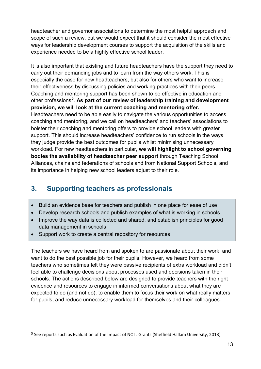headteacher and governor associations to determine the most helpful approach and scope of such a review, but we would expect that it should consider the most effective ways for leadership development courses to support the acquisition of the skills and experience needed to be a highly effective school leader.

It is also important that existing and future headteachers have the support they need to carry out their demanding jobs and to learn from the way others work. This is especially the case for new headteachers, but also for others who want to increase their effectiveness by discussing policies and working practices with their peers. Coaching and mentoring support has been shown to be effective in education and other professions<sup>[5](#page-12-1)</sup>. As part of our review of leadership training and development **provision, we will look at the current coaching and mentoring offer.** Headteachers need to be able easily to navigate the various opportunities to access coaching and mentoring, and we call on headteachers' and teachers' associations to bolster their coaching and mentoring offers to provide school leaders with greater support. This should increase headteachers' confidence to run schools in the ways they judge provide the best outcomes for pupils whilst minimising unnecessary workload. For new headteachers in particular, **we will highlight to school governing bodies the availability of headteacher peer support** through Teaching School Alliances, chains and federations of schools and from National Support Schools, and its importance in helping new school leaders adjust to their role.

## <span id="page-12-0"></span>**3. Supporting teachers as professionals**

- Build an evidence base for teachers and publish in one place for ease of use
- Develop research schools and publish examples of what is working in schools
- Improve the way data is collected and shared, and establish principles for good data management in schools
- Support work to create a central repository for resources

The teachers we have heard from and spoken to are passionate about their work, and want to do the best possible job for their pupils. However, we heard from some teachers who sometimes felt they were passive recipients of extra workload and didn't feel able to challenge decisions about processes used and decisions taken in their schools. The actions described below are designed to provide teachers with the right evidence and resources to engage in informed conversations about what they are expected to do (and not do), to enable them to focus their work on what really matters for pupils, and reduce unnecessary workload for themselves and their colleagues.

<span id="page-12-1"></span><sup>5</sup> See reports such as Evaluation of the Impact of NCTL Grants (Sheffield Hallam University, 2013) i<br>I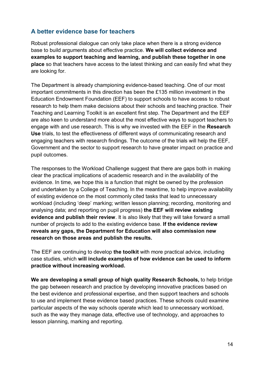#### **A better evidence base for teachers**

Robust professional dialogue can only take place when there is a strong evidence base to build arguments about effective practice. **We will collect evidence and examples to support teaching and learning, and publish these together in one place** so that teachers have access to the latest thinking and can easily find what they are looking for.

The Department is already championing evidence-based teaching. One of our most important commitments in this direction has been the £135 million investment in the Education Endowment Foundation (EEF) to support schools to have access to robust research to help them make decisions about their schools and teaching practice. Their Teaching and Learning Toolkit is an excellent first step. The Department and the EEF are also keen to understand more about the most effective ways to support teachers to engage with and use research. This is why we invested with the EEF in the **Research Use** trials, to test the effectiveness of different ways of communicating research and engaging teachers with research findings. The outcome of the trials will help the EEF, Government and the sector to support research to have greater impact on practice and pupil outcomes.

The responses to the Workload Challenge suggest that there are gaps both in making clear the practical implications of academic research and in the availability of the evidence. In time, we hope this is a function that might be owned by the profession and undertaken by a College of Teaching. In the meantime, to help improve availability of existing evidence on the most commonly cited tasks that lead to unnecessary workload (including 'deep' marking; written lesson planning; recording, monitoring and analysing data; and reporting on pupil progress) **the EEF will review existing evidence and publish their review**. It is also likely that they will take forward a small number of projects to add to the existing evidence base. **If the evidence review reveals any gaps, the Department for Education will also commission new research on those areas and publish the results.**

The EEF are continuing to develop **the toolkit** with more practical advice, including case studies, which **will include examples of how evidence can be used to inform practice without increasing workload.**

**We are developing a small group of high quality Research Schools,** to help bridge the gap between research and practice by developing innovative practices based on the best evidence and professional expertise, and then support teachers and schools to use and implement these evidence based practices. These schools could examine particular aspects of the way schools operate which lead to unnecessary workload, such as the way they manage data, effective use of technology, and approaches to lesson planning, marking and reporting.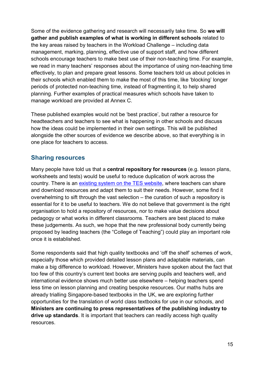Some of the evidence gathering and research will necessarily take time. So **we will gather and publish examples of what is working in different schools** related to the key areas raised by teachers in the Workload Challenge – including data management, marking, planning, effective use of support staff, and how different schools encourage teachers to make best use of their non-teaching time. For example, we read in many teachers' responses about the importance of using non-teaching time effectively, to plan and prepare great lessons. Some teachers told us about policies in their schools which enabled them to make the most of this time, like 'blocking' longer periods of protected non-teaching time, instead of fragmenting it, to help shared planning. Further examples of practical measures which schools have taken to manage workload are provided at Annex C.

These published examples would not be 'best practice', but rather a resource for headteachers and teachers to see what is happening in other schools and discuss how the ideas could be implemented in their own settings. This will be published alongside the other sources of evidence we describe above, so that everything is in one place for teachers to access.

#### **Sharing resources**

Many people have told us that a **central repository for resources** (e.g. lesson plans, worksheets and tests) would be useful to reduce duplication of work across the country. There is an [existing system on the TES website,](https://www.tes.co.uk/teaching-resources/) where teachers can share and download resources and adapt them to suit their needs. However, some find it overwhelming to sift through the vast selection – the curation of such a repository is essential for it to be useful to teachers. We do not believe that government is the right organisation to hold a repository of resources, nor to make value decisions about pedagogy or what works in different classrooms. Teachers are best placed to make these judgements. As such, we hope that the new professional body currently being proposed by leading teachers (the "College of Teaching") could play an important role once it is established.

Some respondents said that high quality textbooks and 'off the shelf' schemes of work, especially those which provided detailed lesson plans and adaptable materials, can make a big difference to workload. However, Ministers have spoken about the fact that too few of this country's current text books are serving pupils and teachers well, and international evidence shows much better use elsewhere – helping teachers spend less time on lesson planning and creating bespoke resources. Our maths hubs are already trialling Singapore-based textbooks in the UK, we are exploring further opportunities for the translation of world class textbooks for use in our schools, and **Ministers are continuing to press representatives of the publishing industry to drive up standards**. It is important that teachers can readily access high quality resources.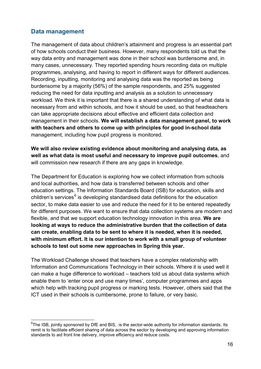#### **Data management**

The management of data about children's attainment and progress is an essential part of how schools conduct their business. However, many respondents told us that the way data entry and management was done in their school was burdensome and, in many cases, unnecessary. They reported spending hours recording data on multiple programmes, analysing, and having to report in different ways for different audiences. Recording, inputting, monitoring and analysing data was the reported as being burdensome by a majority (56%) of the sample respondents, and 25% suggested reducing the need for data inputting and analysis as a solution to unnecessary workload. We think it is important that there is a shared understanding of what data is necessary from and within schools, and how it should be used, so that headteachers can take appropriate decisions about effective and efficient data collection and management in their schools. **We will establish a data management panel, to work with teachers and others to come up with principles for good in-school data**  management, including how pupil progress is monitored.

**We will also review existing evidence about monitoring and analysing data, as well as what data is most useful and necessary to improve pupil outcomes**, and will commission new research if there are any gaps in knowledge.

The Department for Education is exploring how we collect information from schools and local authorities, and how data is transferred between schools and other education settings. The Information Standards Board (ISB) for education, skills and children's services<sup>[6](#page-15-0)</sup> is developing standardised data definitions for the education sector, to make data easier to use and reduce the need for it to be entered repeatedly for different purposes. We want to ensure that data collection systems are modern and flexible, and that we support education technology innovation in this area. **We are looking at ways to reduce the administrative burden that the collection of data can create, enabling data to be sent to where it is needed, when it is needed, with minimum effort. It is our intention to work with a small group of volunteer schools to test out some new approaches in Spring this year.** 

The Workload Challenge showed that teachers have a complex relationship with Information and Communications Technology in their schools. Where it is used well it can make a huge difference to workload – teachers told us about data systems which enable them to 'enter once and use many times', computer programmes and apps which help with tracking pupil progress or marking tests. However, others said that the ICT used in their schools is cumbersome, prone to failure, or very basic.

<span id="page-15-0"></span> ${}^{6}$ The ISB, jointly sponsored by DfE and BIS, is the sector-wide authority for information standards. Its remit is to facilitate efficient sharing of data across the sector by developing and approving information standards to aid front line delivery, improve efficiency and reduce costs.  $\overline{a}$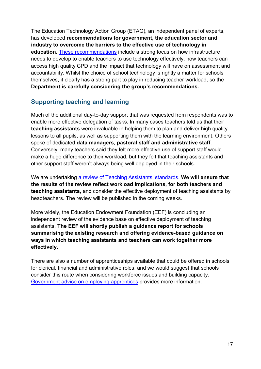The Education Technology Action Group (ETAG), an independent panel of experts, has developed **recommendations for government, the education sector and industry to overcome the barriers to the effective use of technology in**  education. [These recommendations](http://etag.report/) include a strong focus on how infrastructure needs to develop to enable teachers to use technology effectively, how teachers can access high quality CPD and the impact that technology will have on assessment and accountability. Whilst the choice of school technology is rightly a matter for schools themselves, it clearly has a strong part to play in reducing teacher workload, so the **Department is carefully considering the group's recommendations.**

#### **Supporting teaching and learning**

Much of the additional day-to-day support that was requested from respondents was to enable more effective delegation of tasks. In many cases teachers told us that their **teaching assistants** were invaluable in helping them to plan and deliver high quality lessons to all pupils, as well as supporting them with the learning environment. Others spoke of dedicated **data managers, pastoral staff and administrative staff**. Conversely, many teachers said they felt more effective use of support staff would make a huge difference to their workload, but they felt that teaching assistants and other support staff weren't always being well deployed in their schools.

We are undertaking [a review of Teaching Assistants'](https://www.gov.uk/government/news/review-of-standards-for-teaching-assistants-launched) standards. **We will ensure that the results of the review reflect workload implications, for both teachers and teaching assistants**, and consider the effective deployment of teaching assistants by headteachers. The review will be published in the coming weeks.

More widely, the Education Endowment Foundation (EEF) is concluding an independent review of the evidence base on effective deployment of teaching assistants. **The EEF will shortly publish a guidance report for schools summarising the existing research and offering evidence-based guidance on ways in which teaching assistants and teachers can work together more effectively.**

There are also a number of apprenticeships available that could be offered in schools for clerical, financial and administrative roles, and we would suggest that schools consider this route when considering workforce issues and building capacity. [Government advice on employing apprentices](https://www.gov.uk/take-on-an-apprentice) provides more information.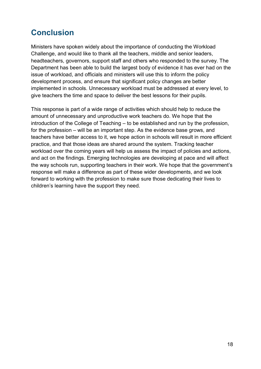# <span id="page-17-0"></span>**Conclusion**

Ministers have spoken widely about the importance of conducting the Workload Challenge, and would like to thank all the teachers, middle and senior leaders, headteachers, governors, support staff and others who responded to the survey. The Department has been able to build the largest body of evidence it has ever had on the issue of workload, and officials and ministers will use this to inform the policy development process, and ensure that significant policy changes are better implemented in schools. Unnecessary workload must be addressed at every level, to give teachers the time and space to deliver the best lessons for their pupils.

This response is part of a wide range of activities which should help to reduce the amount of unnecessary and unproductive work teachers do. We hope that the introduction of the College of Teaching – to be established and run by the profession, for the profession – will be an important step. As the evidence base grows, and teachers have better access to it, we hope action in schools will result in more efficient practice, and that those ideas are shared around the system. Tracking teacher workload over the coming years will help us assess the impact of policies and actions, and act on the findings. Emerging technologies are developing at pace and will affect the way schools run, supporting teachers in their work. We hope that the government's response will make a difference as part of these wider developments, and we look forward to working with the profession to make sure those dedicating their lives to children's learning have the support they need.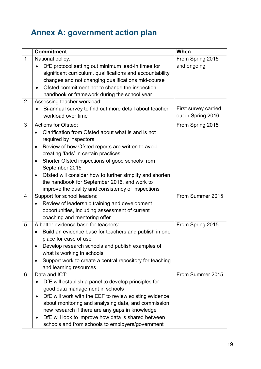# <span id="page-18-0"></span>**Annex A: government action plan**

|                | <b>Commitment</b>                                                                                                                                                                                                                                                                                                                                                                                                                                                                     | When                                       |
|----------------|---------------------------------------------------------------------------------------------------------------------------------------------------------------------------------------------------------------------------------------------------------------------------------------------------------------------------------------------------------------------------------------------------------------------------------------------------------------------------------------|--------------------------------------------|
| $\mathbf{1}$   | National policy:<br>DfE protocol setting out minimum lead-in times for<br>significant curriculum, qualifications and accountability                                                                                                                                                                                                                                                                                                                                                   | From Spring 2015<br>and ongoing            |
|                | changes and not changing qualifications mid-course<br>Ofsted commitment not to change the inspection<br>$\bullet$<br>handbook or framework during the school year                                                                                                                                                                                                                                                                                                                     |                                            |
| $\overline{2}$ | Assessing teacher workload:<br>Bi-annual survey to find out more detail about teacher<br>workload over time                                                                                                                                                                                                                                                                                                                                                                           | First survey carried<br>out in Spring 2016 |
| 3              | <b>Actions for Ofsted:</b><br>Clarification from Ofsted about what is and is not<br>required by inspectors<br>Review of how Ofsted reports are written to avoid<br>$\bullet$<br>creating 'fads' in certain practices<br>Shorter Ofsted inspections of good schools from<br>$\bullet$<br>September 2015<br>Ofsted will consider how to further simplify and shorten<br>$\bullet$<br>the handbook for September 2016, and work to<br>improve the quality and consistency of inspections | From Spring 2015                           |
| $\overline{4}$ | Support for school leaders:<br>Review of leadership training and development<br>opportunities, including assessment of current<br>coaching and mentoring offer                                                                                                                                                                                                                                                                                                                        | From Summer 2015                           |
| 5              | A better evidence base for teachers:<br>Build an evidence base for teachers and publish in one<br>place for ease of use<br>Develop research schools and publish examples of<br>what is working in schools<br>Support work to create a central repository for teaching<br>and learning resources                                                                                                                                                                                       | From Spring 2015                           |
| 6              | Data and ICT:<br>DfE will establish a panel to develop principles for<br>good data management in schools<br>DfE will work with the EEF to review existing evidence<br>$\bullet$<br>about monitoring and analysing data, and commission<br>new research if there are any gaps in knowledge<br>DfE will look to improve how data is shared between<br>schools and from schools to employers/government                                                                                  | From Summer 2015                           |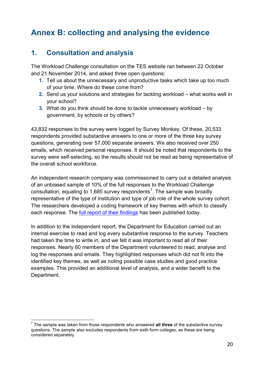# <span id="page-19-0"></span>**Annex B: collecting and analysing the evidence**

## **1. Consultation and analysis**

The Workload Challenge consultation on the TES website ran between 22 October and 21 November 2014, and asked three open questions:

- **1.** Tell us about the unnecessary and unproductive tasks which take up too much of your time. Where do these come from?
- **2.** Send us your solutions and strategies for tackling workload what works well in your school?
- **3.** What do you think should be done to tackle unnecessary workload by government, by schools or by others?

43,832 responses to the survey were logged by Survey Monkey. Of these, 20,533 respondents provided substantive answers to one or more of the three key survey questions, generating over 57,000 separate answers. We also received over 250 emails, which received personal responses. It should be noted that respondents to the survey were self-selecting, so the results should not be read as being representative of the overall school workforce.

An independent research company was commissioned to carry out a detailed analysis of an unbiased sample of 10% of the full responses to the Workload Challenge consultation, equating to 1,685 survey respondents<sup>[7](#page-19-1)</sup>. The sample was broadly representative of the type of institution and type of job role of the whole survey cohort. The researchers developed a coding framework of key themes with which to classify each response. The [full report of their findings](https://www.gov.uk/government/publications/workload-challenge-analysis-of-teacher-responses) has been published today.

In addition to the independent report, the Department for Education carried out an internal exercise to read and log every substantive response to the survey. Teachers had taken the time to write in, and we felt it was important to read all of their responses. Nearly 60 members of the Department volunteered to read, analyse and log the responses and emails. They highlighted responses which did not fit into the identified key themes, as well as noting possible case studies and good practice examples. This provided an additional level of analysis, and a wider benefit to the Department.

<span id="page-19-1"></span><sup>7</sup> The sample was taken from those respondents who answered **all three** of the substantive survey questions. The sample also excludes respondents from sixth form colleges, as these are being considered separately.  $\frac{1}{7}$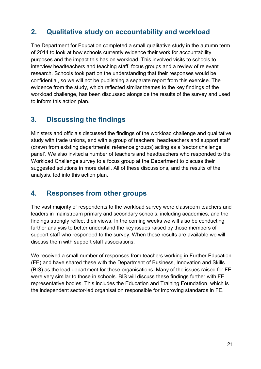## **2. Qualitative study on accountability and workload**

The Department for Education completed a small qualitative study in the autumn term of 2014 to look at how schools currently evidence their work for accountability purposes and the impact this has on workload. This involved visits to schools to interview headteachers and teaching staff, focus groups and a review of relevant research. Schools took part on the understanding that their responses would be confidential, so we will not be publishing a separate report from this exercise. The evidence from the study, which reflected similar themes to the key findings of the workload challenge, has been discussed alongside the results of the survey and used to inform this action plan.

## **3. Discussing the findings**

Ministers and officials discussed the findings of the workload challenge and qualitative study with trade unions, and with a group of teachers, headteachers and support staff (drawn from existing departmental reference groups) acting as a 'sector challenge panel'. We also invited a number of teachers and headteachers who responded to the Workload Challenge survey to a focus group at the Department to discuss their suggested solutions in more detail. All of these discussions, and the results of the analysis, fed into this action plan.

## **4. Responses from other groups**

The vast majority of respondents to the workload survey were classroom teachers and leaders in mainstream primary and secondary schools, including academies, and the findings strongly reflect their views. In the coming weeks we will also be conducting further analysis to better understand the key issues raised by those members of support staff who responded to the survey. When these results are available we will discuss them with support staff associations.

We received a small number of responses from teachers working in Further Education (FE) and have shared these with the Department of Business, Innovation and Skills (BIS) as the lead department for these organisations. Many of the issues raised for FE were very similar to those in schools. BIS will discuss these findings further with FE representative bodies. This includes the Education and Training Foundation, which is the independent sector-led organisation responsible for improving standards in FE.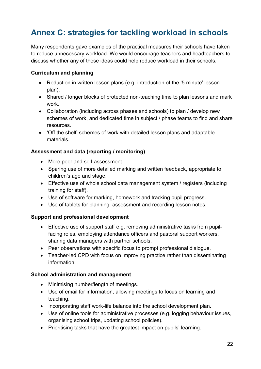# <span id="page-21-0"></span>**Annex C: strategies for tackling workload in schools**

Many respondents gave examples of the practical measures their schools have taken to reduce unnecessary workload. We would encourage teachers and headteachers to discuss whether any of these ideas could help reduce workload in their schools.

#### **Curriculum and planning**

- Reduction in written lesson plans (e.g. introduction of the '5 minute' lesson plan).
- Shared / longer blocks of protected non-teaching time to plan lessons and mark work.
- Collaboration (including across phases and schools) to plan / develop new schemes of work, and dedicated time in subject / phase teams to find and share resources.
- 'Off the shelf' schemes of work with detailed lesson plans and adaptable materials.

#### **Assessment and data (reporting / monitoring)**

- More peer and self-assessment.
- Sparing use of more detailed marking and written feedback, appropriate to children's age and stage.
- Effective use of whole school data management system / registers (including training for staff).
- Use of software for marking, homework and tracking pupil progress.
- Use of tablets for planning, assessment and recording lesson notes.

#### **Support and professional development**

- Effective use of support staff e.g. removing administrative tasks from pupilfacing roles, employing attendance officers and pastoral support workers, sharing data managers with partner schools.
- Peer observations with specific focus to prompt professional dialogue.
- Teacher-led CPD with focus on improving practice rather than disseminating information.

#### **School administration and management**

- Minimising number/length of meetings.
- Use of email for information, allowing meetings to focus on learning and teaching.
- Incorporating staff work-life balance into the school development plan.
- Use of online tools for administrative processes (e.g. logging behaviour issues, organising school trips, updating school policies).
- Prioritising tasks that have the greatest impact on pupils' learning.